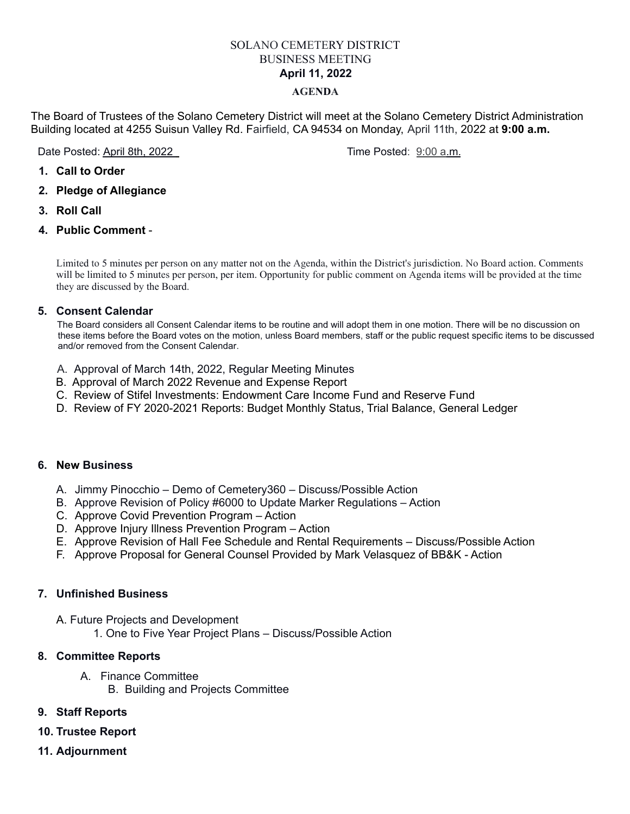# SOLANO CEMETERY DISTRICT BUSINESS MEETING **April 11, 2022**

#### **AGENDA**

The Board of Trustees of the Solano Cemetery District will meet at the Solano Cemetery District Administration Building located at 4255 Suisun Valley Rd. Fairfield, CA 94534 on Monday, April 11th, 2022 at **9:00 a.m.**

Date Posted: April 8th, 2022 **Time Posted: 9:00 a.m.** 

- **1. Call to Order**
- **2. Pledge of Allegiance**
- **3. Roll Call**
- **4. Public Comment** -

Limited to 5 minutes per person on any matter not on the Agenda, within the District's jurisdiction. No Board action. Comments will be limited to 5 minutes per person, per item. Opportunity for public comment on Agenda items will be provided at the time they are discussed by the Board.

### **5. Consent Calendar**

The Board considers all Consent Calendar items to be routine and will adopt them in one motion. There will be no discussion on these items before the Board votes on the motion, unless Board members, staff or the public request specific items to be discussed and/or removed from the Consent Calendar.

- A. Approval of March 14th, 2022, Regular Meeting Minutes
- B. Approval of March 2022 Revenue and Expense Report
- C. Review of Stifel Investments: Endowment Care Income Fund and Reserve Fund
- D. Review of FY 2020-2021 Reports: Budget Monthly Status, Trial Balance, General Ledger

#### **6. New Business**

- A. Jimmy Pinocchio Demo of Cemetery360 Discuss/Possible Action
- B. Approve Revision of Policy #6000 to Update Marker Regulations Action
- C. Approve Covid Prevention Program Action
- D. Approve Injury Illness Prevention Program Action
- E. Approve Revision of Hall Fee Schedule and Rental Requirements Discuss/Possible Action
- F. Approve Proposal for General Counsel Provided by Mark Velasquez of BB&K Action

## **7. Unfinished Business**

- A. Future Projects and Development
	- 1. One to Five Year Project Plans Discuss/Possible Action

#### **8. Committee Reports**

- A. Finance Committee
	- B. Building and Projects Committee

## **9. Staff Reports**

- **10. Trustee Report**
- **11. Adjournment**